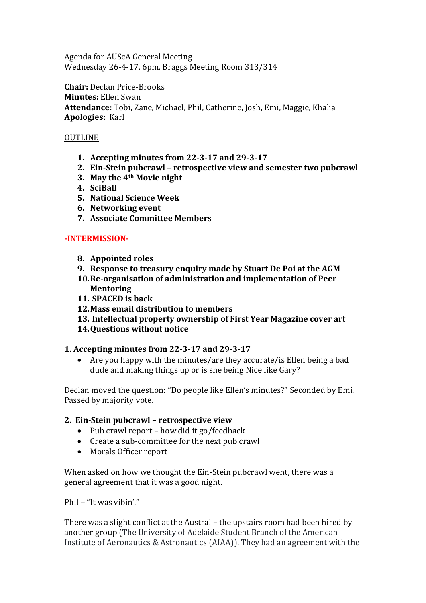Agenda for AUScA General Meeting Wednesday 26-4-17, 6pm, Braggs Meeting Room 313/314

**Chair:** Declan Price-Brooks **Minutes:** Ellen Swan **Attendance:** Tobi, Zane, Michael, Phil, Catherine, Josh, Emi, Maggie, Khalia **Apologies:** Karl

### OUTLINE

- **1. Accepting minutes from 22-3-17 and 29-3-17**
- **2. Ein-Stein pubcrawl – retrospective view and semester two pubcrawl**
- **3. May the 4th Movie night**
- **4. SciBall**
- **5. National Science Week**
- **6. Networking event**
- **7. Associate Committee Members**

### **-INTERMISSION-**

- **8. Appointed roles**
- **9. Response to treasury enquiry made by Stuart De Poi at the AGM**
- **10.Re-organisation of administration and implementation of Peer Mentoring**
- **11. SPACED is back**
- **12.Mass email distribution to members**
- **13. Intellectual property ownership of First Year Magazine cover art**
- **14.Questions without notice**

### **1. Accepting minutes from 22-3-17 and 29-3-17**

 Are you happy with the minutes/are they accurate/is Ellen being a bad dude and making things up or is she being Nice like Gary?

Declan moved the question: "Do people like Ellen's minutes?" Seconded by Emi. Passed by majority vote.

### **2. Ein-Stein pubcrawl – retrospective view**

- $\bullet$  Pub crawl report how did it go/feedback
- Create a sub-committee for the next pub crawl
- Morals Officer report

When asked on how we thought the Ein-Stein pubcrawl went, there was a general agreement that it was a good night.

Phil – "It was vibin'."

There was a slight conflict at the Austral – the upstairs room had been hired by another group (The University of Adelaide Student Branch of the American Institute of Aeronautics & Astronautics (AIAA)). They had an agreement with the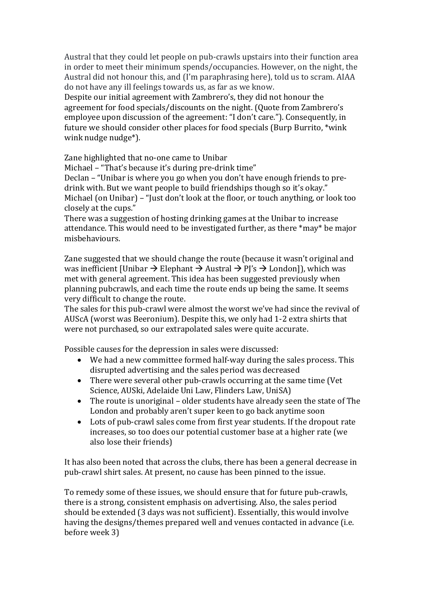Austral that they could let people on pub-crawls upstairs into their function area in order to meet their minimum spends/occupancies. However, on the night, the Austral did not honour this, and (I'm paraphrasing here), told us to scram. AIAA do not have any ill feelings towards us, as far as we know.

Despite our initial agreement with Zambrero's, they did not honour the agreement for food specials/discounts on the night. (Quote from Zambrero's employee upon discussion of the agreement: "I don't care."). Consequently, in future we should consider other places for food specials (Burp Burrito, \*wink wink nudge nudge<sup>\*</sup>).

Zane highlighted that no-one came to Unibar

Michael – "That's because it's during pre-drink time"

Declan – "Unibar is where you go when you don't have enough friends to predrink with. But we want people to build friendships though so it's okay." Michael (on Unibar) – "Just don't look at the floor, or touch anything, or look too closely at the cups."

There was a suggestion of hosting drinking games at the Unibar to increase attendance. This would need to be investigated further, as there \*may\* be major misbehaviours.

Zane suggested that we should change the route (because it wasn't original and was inefficient [Unibar  $\rightarrow$  Elephant  $\rightarrow$  Austral  $\rightarrow$  P['s  $\rightarrow$  London]), which was met with general agreement. This idea has been suggested previously when planning pubcrawls, and each time the route ends up being the same. It seems very difficult to change the route.

The sales for this pub-crawl were almost the worst we've had since the revival of AUScA (worst was Beeronium). Despite this, we only had 1-2 extra shirts that were not purchased, so our extrapolated sales were quite accurate.

Possible causes for the depression in sales were discussed:

- We had a new committee formed half-way during the sales process. This disrupted advertising and the sales period was decreased
- There were several other pub-crawls occurring at the same time (Vet Science, AUSki, Adelaide Uni Law, Flinders Law, UniSA)
- The route is unoriginal older students have already seen the state of The London and probably aren't super keen to go back anytime soon
- Lots of pub-crawl sales come from first year students. If the dropout rate increases, so too does our potential customer base at a higher rate (we also lose their friends)

It has also been noted that across the clubs, there has been a general decrease in pub-crawl shirt sales. At present, no cause has been pinned to the issue.

To remedy some of these issues, we should ensure that for future pub-crawls, there is a strong, consistent emphasis on advertising. Also, the sales period should be extended (3 days was not sufficient). Essentially, this would involve having the designs/themes prepared well and venues contacted in advance (i.e. before week 3)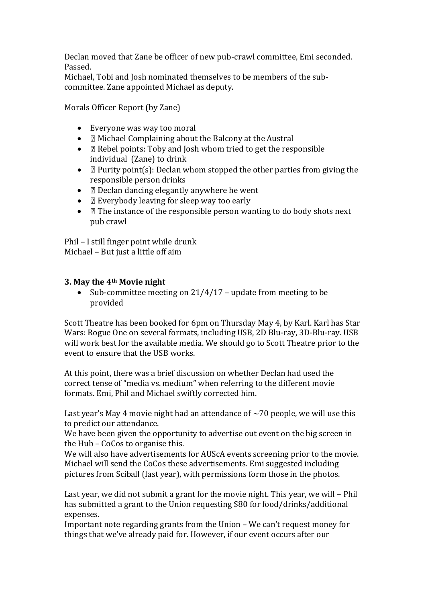Declan moved that Zane be officer of new pub-crawl committee, Emi seconded. Passed.

Michael, Tobi and Josh nominated themselves to be members of the subcommittee. Zane appointed Michael as deputy.

Morals Officer Report (by Zane)

- Everyone was way too moral
- $\bullet$   $\Box$  Michael Complaining about the Balcony at the Austral
- $\Box$  Rebel points: Toby and Josh whom tried to get the responsible individual (Zane) to drink
- $\Box$  Purity point(s): Declan whom stopped the other parties from giving the responsible person drinks
- $\bullet$   $\Box$  Declan dancing elegantly anywhere he went
- $\bullet$   $\Box$  Everybody leaving for sleep way too early
- $\bullet$   $\Box$  The instance of the responsible person wanting to do body shots next pub crawl

Phil – I still finger point while drunk Michael – But just a little off aim

### **3. May the 4th Movie night**

• Sub-committee meeting on  $21/4/17$  – update from meeting to be provided

Scott Theatre has been booked for 6pm on Thursday May 4, by Karl. Karl has Star Wars: Rogue One on several formats, including USB, 2D Blu-ray, 3D-Blu-ray. USB will work best for the available media. We should go to Scott Theatre prior to the event to ensure that the USB works.

At this point, there was a brief discussion on whether Declan had used the correct tense of "media vs. medium" when referring to the different movie formats. Emi, Phil and Michael swiftly corrected him.

Last year's May 4 movie night had an attendance of  $\sim$  70 people, we will use this to predict our attendance.

We have been given the opportunity to advertise out event on the big screen in the Hub – CoCos to organise this.

We will also have advertisements for AUScA events screening prior to the movie. Michael will send the CoCos these advertisements. Emi suggested including pictures from Sciball (last year), with permissions form those in the photos.

Last year, we did not submit a grant for the movie night. This year, we will – Phil has submitted a grant to the Union requesting \$80 for food/drinks/additional expenses.

Important note regarding grants from the Union – We can't request money for things that we've already paid for. However, if our event occurs after our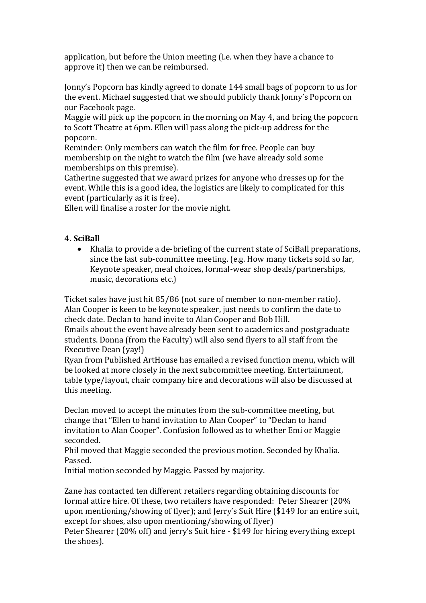application, but before the Union meeting (i.e. when they have a chance to approve it) then we can be reimbursed.

Jonny's Popcorn has kindly agreed to donate 144 small bags of popcorn to us for the event. Michael suggested that we should publicly thank Jonny's Popcorn on our Facebook page.

Maggie will pick up the popcorn in the morning on May 4, and bring the popcorn to Scott Theatre at 6pm. Ellen will pass along the pick-up address for the popcorn.

Reminder: Only members can watch the film for free. People can buy membership on the night to watch the film (we have already sold some memberships on this premise).

Catherine suggested that we award prizes for anyone who dresses up for the event. While this is a good idea, the logistics are likely to complicated for this event (particularly as it is free).

Ellen will finalise a roster for the movie night.

# **4. SciBall**

 Khalia to provide a de-briefing of the current state of SciBall preparations, since the last sub-committee meeting. (e.g. How many tickets sold so far, Keynote speaker, meal choices, formal-wear shop deals/partnerships, music, decorations etc.)

Ticket sales have just hit 85/86 (not sure of member to non-member ratio). Alan Cooper is keen to be keynote speaker, just needs to confirm the date to check date. Declan to hand invite to Alan Cooper and Bob Hill.

Emails about the event have already been sent to academics and postgraduate students. Donna (from the Faculty) will also send flyers to all staff from the Executive Dean (yay!)

Ryan from Published ArtHouse has emailed a revised function menu, which will be looked at more closely in the next subcommittee meeting. Entertainment, table type/layout, chair company hire and decorations will also be discussed at this meeting.

Declan moved to accept the minutes from the sub-committee meeting, but change that "Ellen to hand invitation to Alan Cooper" to "Declan to hand invitation to Alan Cooper". Confusion followed as to whether Emi or Maggie seconded.

Phil moved that Maggie seconded the previous motion. Seconded by Khalia. Passed.

Initial motion seconded by Maggie. Passed by majority.

Zane has contacted ten different retailers regarding obtaining discounts for formal attire hire. Of these, two retailers have responded: Peter Shearer (20% upon mentioning/showing of flyer); and Jerry's Suit Hire (\$149 for an entire suit, except for shoes, also upon mentioning/showing of flyer)

Peter Shearer (20% off) and jerry's Suit hire - \$149 for hiring everything except the shoes).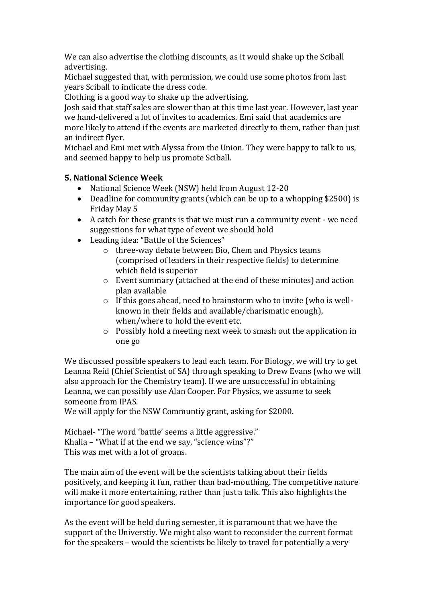We can also advertise the clothing discounts, as it would shake up the Sciball advertising.

Michael suggested that, with permission, we could use some photos from last years Sciball to indicate the dress code.

Clothing is a good way to shake up the advertising.

Josh said that staff sales are slower than at this time last year. However, last year we hand-delivered a lot of invites to academics. Emi said that academics are more likely to attend if the events are marketed directly to them, rather than just an indirect flyer.

Michael and Emi met with Alyssa from the Union. They were happy to talk to us, and seemed happy to help us promote Sciball.

### **5. National Science Week**

- National Science Week (NSW) held from August 12-20
- Deadline for community grants (which can be up to a whopping \$2500) is Friday May 5
- A catch for these grants is that we must run a community event we need suggestions for what type of event we should hold
- Leading idea: "Battle of the Sciences"
	- o three-way debate between Bio, Chem and Physics teams (comprised of leaders in their respective fields) to determine which field is superior
	- o Event summary (attached at the end of these minutes) and action plan available
	- o If this goes ahead, need to brainstorm who to invite (who is wellknown in their fields and available/charismatic enough), when/where to hold the event etc.
	- o Possibly hold a meeting next week to smash out the application in one go

We discussed possible speakers to lead each team. For Biology, we will try to get Leanna Reid (Chief Scientist of SA) through speaking to Drew Evans (who we will also approach for the Chemistry team). If we are unsuccessful in obtaining Leanna, we can possibly use Alan Cooper. For Physics, we assume to seek someone from IPAS.

We will apply for the NSW Communtiy grant, asking for \$2000.

Michael- "The word 'battle' seems a little aggressive." Khalia – "What if at the end we say, "science wins"?" This was met with a lot of groans.

The main aim of the event will be the scientists talking about their fields positively, and keeping it fun, rather than bad-mouthing. The competitive nature will make it more entertaining, rather than just a talk. This also highlights the importance for good speakers.

As the event will be held during semester, it is paramount that we have the support of the Universtiy. We might also want to reconsider the current format for the speakers – would the scientists be likely to travel for potentially a very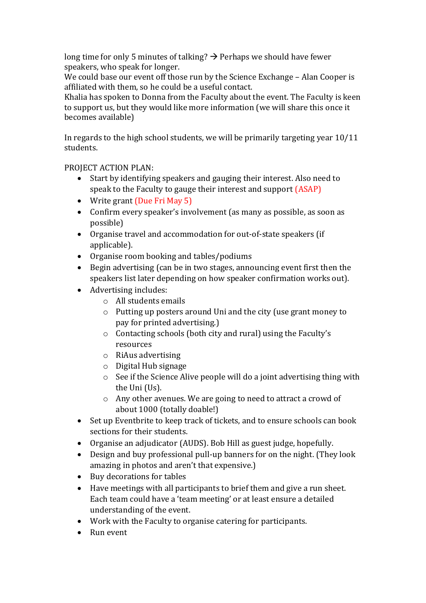long time for only 5 minutes of talking?  $\rightarrow$  Perhaps we should have fewer speakers, who speak for longer.

We could base our event off those run by the Science Exchange – Alan Cooper is affiliated with them, so he could be a useful contact.

Khalia has spoken to Donna from the Faculty about the event. The Faculty is keen to support us, but they would like more information (we will share this once it becomes available)

In regards to the high school students, we will be primarily targeting year 10/11 students.

# PROJECT ACTION PLAN:

- Start by identifying speakers and gauging their interest. Also need to speak to the Faculty to gauge their interest and support (ASAP)
- Write grant (Due Fri May 5)
- Confirm every speaker's involvement (as many as possible, as soon as possible)
- Organise travel and accommodation for out-of-state speakers (if applicable).
- Organise room booking and tables/podiums
- Begin advertising (can be in two stages, announcing event first then the speakers list later depending on how speaker confirmation works out).
- Advertising includes:
	- o All students emails
	- o Putting up posters around Uni and the city (use grant money to pay for printed advertising.)
	- o Contacting schools (both city and rural) using the Faculty's resources
	- o RiAus advertising
	- o Digital Hub signage
	- o See if the Science Alive people will do a joint advertising thing with the Uni (Us).
	- o Any other avenues. We are going to need to attract a crowd of about 1000 (totally doable!)
- Set up Eventbrite to keep track of tickets, and to ensure schools can book sections for their students.
- Organise an adjudicator (AUDS). Bob Hill as guest judge, hopefully.
- Design and buy professional pull-up banners for on the night. (They look amazing in photos and aren't that expensive.)
- Buy decorations for tables
- Have meetings with all participants to brief them and give a run sheet. Each team could have a 'team meeting' or at least ensure a detailed understanding of the event.
- Work with the Faculty to organise catering for participants.
- Run event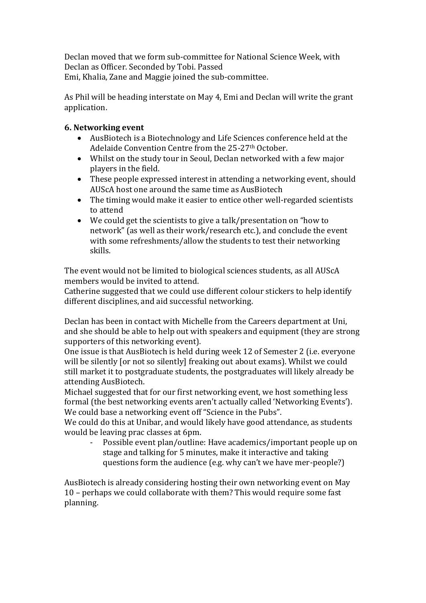Declan moved that we form sub-committee for National Science Week, with Declan as Officer. Seconded by Tobi. Passed Emi, Khalia, Zane and Maggie joined the sub-committee.

As Phil will be heading interstate on May 4, Emi and Declan will write the grant application.

## **6. Networking event**

- AusBiotech is a Biotechnology and Life Sciences conference held at the Adelaide Convention Centre from the 25-27<sup>th</sup> October.
- Whilst on the study tour in Seoul, Declan networked with a few major players in the field.
- These people expressed interest in attending a networking event, should AUScA host one around the same time as AusBiotech
- The timing would make it easier to entice other well-regarded scientists to attend
- We could get the scientists to give a talk/presentation on "how to network" (as well as their work/research etc.), and conclude the event with some refreshments/allow the students to test their networking skills.

The event would not be limited to biological sciences students, as all AUScA members would be invited to attend.

Catherine suggested that we could use different colour stickers to help identify different disciplines, and aid successful networking.

Declan has been in contact with Michelle from the Careers department at Uni, and she should be able to help out with speakers and equipment (they are strong supporters of this networking event).

One issue is that AusBiotech is held during week 12 of Semester 2 (i.e. everyone will be silently [or not so silently] freaking out about exams). Whilst we could still market it to postgraduate students, the postgraduates will likely already be attending AusBiotech.

Michael suggested that for our first networking event, we host something less formal (the best networking events aren't actually called 'Networking Events'). We could base a networking event off "Science in the Pubs".

We could do this at Unibar, and would likely have good attendance, as students would be leaving prac classes at 6pm.

Possible event plan/outline: Have academics/important people up on stage and talking for 5 minutes, make it interactive and taking questions form the audience (e.g. why can't we have mer-people?)

AusBiotech is already considering hosting their own networking event on May 10 – perhaps we could collaborate with them? This would require some fast planning.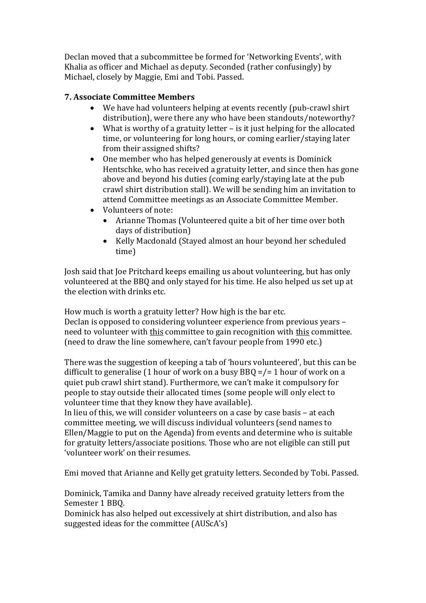Declan moved that a subcommittee be formed for 'Networking Events', with Khalia as officer and Michael as deputy. Seconded (rather confusingly) by Michael, closely by Maggie, Emi and Tobi. Passed.

## **7. Associate Committee Members**

- We have had volunteers helping at events recently (pub-crawl shirt distribution), were there any who have been standouts/noteworthy?
- What is worthy of a gratuity letter is it just helping for the allocated time, or volunteering for long hours, or coming earlier/staying later from their assigned shifts?
- One member who has helped generously at events is Dominick Hentschke, who has received a gratuity letter, and since then has gone above and beyond his duties (coming early/staying late at the pub crawl shirt distribution stall). We will be sending him an invitation to attend Committee meetings as an Associate Committee Member.
- Volunteers of note:
	- Arianne Thomas (Volunteered quite a bit of her time over both days of distribution)
	- Kelly Macdonald (Stayed almost an hour beyond her scheduled time)

Josh said that Joe Pritchard keeps emailing us about volunteering, but has only volunteered at the BBQ and only stayed for his time. He also helped us set up at the election with drinks etc.

How much is worth a gratuity letter? How high is the bar etc. Declan is opposed to considering volunteer experience from previous years – need to volunteer with this committee to gain recognition with this committee. (need to draw the line somewhere, can't favour people from 1990 etc.)

There was the suggestion of keeping a tab of 'hours volunteered', but this can be difficult to generalise (1 hour of work on a busy  $BBQ = / = 1$  hour of work on a quiet pub crawl shirt stand). Furthermore, we can't make it compulsory for people to stay outside their allocated times (some people will only elect to volunteer time that they know they have available).

In lieu of this, we will consider volunteers on a case by case basis – at each committee meeting, we will discuss individual volunteers (send names to Ellen/Maggie to put on the Agenda) from events and determine who is suitable for gratuity letters/associate positions. Those who are not eligible can still put 'volunteer work' on their resumes.

Emi moved that Arianne and Kelly get gratuity letters. Seconded by Tobi. Passed.

Dominick, Tamika and Danny have already received gratuity letters from the Semester 1 BBQ.

Dominick has also helped out excessively at shirt distribution, and also has suggested ideas for the committee (AUScA's)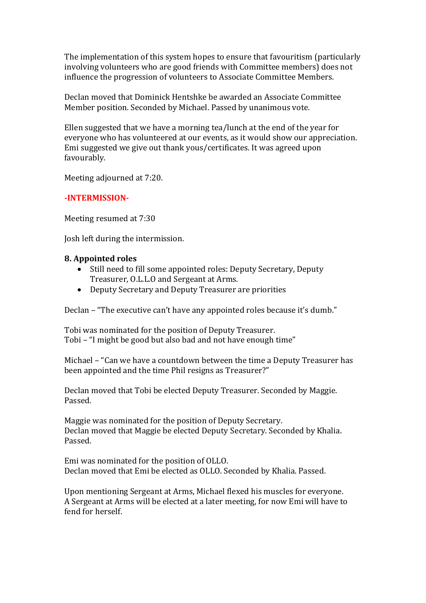The implementation of this system hopes to ensure that favouritism (particularly involving volunteers who are good friends with Committee members) does not influence the progression of volunteers to Associate Committee Members.

Declan moved that Dominick Hentshke be awarded an Associate Committee Member position. Seconded by Michael. Passed by unanimous vote.

Ellen suggested that we have a morning tea/lunch at the end of the year for everyone who has volunteered at our events, as it would show our appreciation. Emi suggested we give out thank yous/certificates. It was agreed upon favourably.

Meeting adjourned at 7:20.

### **-INTERMISSION-**

Meeting resumed at 7:30

Josh left during the intermission.

#### **8. Appointed roles**

- Still need to fill some appointed roles: Deputy Secretary, Deputy Treasurer, O.L.L.O and Sergeant at Arms.
- Deputy Secretary and Deputy Treasurer are priorities

Declan – "The executive can't have any appointed roles because it's dumb."

Tobi was nominated for the position of Deputy Treasurer. Tobi – "I might be good but also bad and not have enough time"

Michael – "Can we have a countdown between the time a Deputy Treasurer has been appointed and the time Phil resigns as Treasurer?"

Declan moved that Tobi be elected Deputy Treasurer. Seconded by Maggie. Passed.

Maggie was nominated for the position of Deputy Secretary. Declan moved that Maggie be elected Deputy Secretary. Seconded by Khalia. Passed.

Emi was nominated for the position of OLLO. Declan moved that Emi be elected as OLLO. Seconded by Khalia. Passed.

Upon mentioning Sergeant at Arms, Michael flexed his muscles for everyone. A Sergeant at Arms will be elected at a later meeting, for now Emi will have to fend for herself.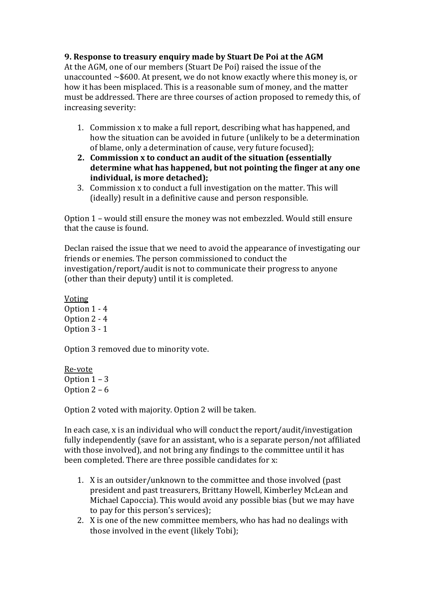## **9. Response to treasury enquiry made by Stuart De Poi at the AGM**

At the AGM, one of our members (Stuart De Poi) raised the issue of the unaccounted ~\$600. At present, we do not know exactly where this money is, or how it has been misplaced. This is a reasonable sum of money, and the matter must be addressed. There are three courses of action proposed to remedy this, of increasing severity:

- 1. Commission x to make a full report, describing what has happened, and how the situation can be avoided in future (unlikely to be a determination of blame, only a determination of cause, very future focused);
- **2. Commission x to conduct an audit of the situation (essentially determine what has happened, but not pointing the finger at any one individual, is more detached);**
- 3. Commission x to conduct a full investigation on the matter. This will (ideally) result in a definitive cause and person responsible.

Option 1 – would still ensure the money was not embezzled. Would still ensure that the cause is found.

Declan raised the issue that we need to avoid the appearance of investigating our friends or enemies. The person commissioned to conduct the investigation/report/audit is not to communicate their progress to anyone (other than their deputy) until it is completed.

Voting Option 1 - 4 Option 2 - 4 Option 3 - 1

Option 3 removed due to minority vote.

Re-vote Option 1 – 3 Option  $2 - 6$ 

Option 2 voted with majority. Option 2 will be taken.

In each case, x is an individual who will conduct the report/audit/investigation fully independently (save for an assistant, who is a separate person/not affiliated with those involved), and not bring any findings to the committee until it has been completed. There are three possible candidates for x:

- 1. X is an outsider/unknown to the committee and those involved (past president and past treasurers, Brittany Howell, Kimberley McLean and Michael Capoccia). This would avoid any possible bias (but we may have to pay for this person's services);
- 2. X is one of the new committee members, who has had no dealings with those involved in the event (likely Tobi);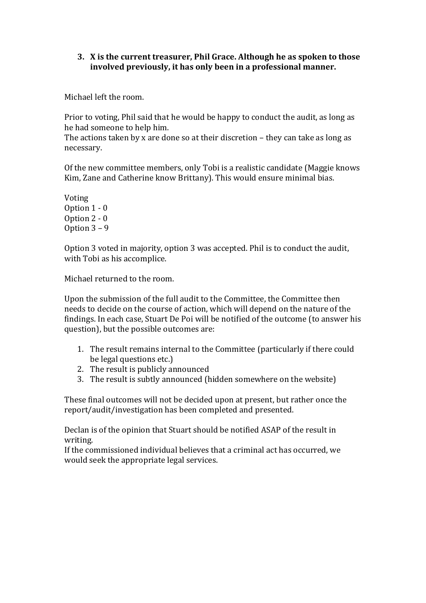### **3. X is the current treasurer, Phil Grace. Although he as spoken to those involved previously, it has only been in a professional manner.**

Michael left the room.

Prior to voting, Phil said that he would be happy to conduct the audit, as long as he had someone to help him.

The actions taken by x are done so at their discretion – they can take as long as necessary.

Of the new committee members, only Tobi is a realistic candidate (Maggie knows Kim, Zane and Catherine know Brittany). This would ensure minimal bias.

Voting Option 1 - 0 Option 2 - 0 Option 3 – 9

Option 3 voted in majority, option 3 was accepted. Phil is to conduct the audit, with Tobi as his accomplice.

Michael returned to the room.

Upon the submission of the full audit to the Committee, the Committee then needs to decide on the course of action, which will depend on the nature of the findings. In each case, Stuart De Poi will be notified of the outcome (to answer his question), but the possible outcomes are:

- 1. The result remains internal to the Committee (particularly if there could be legal questions etc.)
- 2. The result is publicly announced
- 3. The result is subtly announced (hidden somewhere on the website)

These final outcomes will not be decided upon at present, but rather once the report/audit/investigation has been completed and presented.

Declan is of the opinion that Stuart should be notified ASAP of the result in writing.

If the commissioned individual believes that a criminal act has occurred, we would seek the appropriate legal services.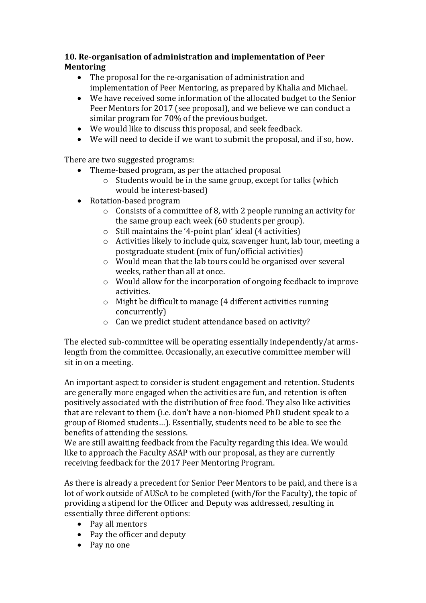# **10. Re-organisation of administration and implementation of Peer Mentoring**

- The proposal for the re-organisation of administration and implementation of Peer Mentoring, as prepared by Khalia and Michael.
- We have received some information of the allocated budget to the Senior Peer Mentors for 2017 (see proposal), and we believe we can conduct a similar program for 70% of the previous budget.
- We would like to discuss this proposal, and seek feedback.
- We will need to decide if we want to submit the proposal, and if so, how.

There are two suggested programs:

- Theme-based program, as per the attached proposal
	- o Students would be in the same group, except for talks (which would be interest-based)
- Rotation-based program
	- o Consists of a committee of 8, with 2 people running an activity for the same group each week (60 students per group).
	- o Still maintains the '4-point plan' ideal (4 activities)
	- o Activities likely to include quiz, scavenger hunt, lab tour, meeting a postgraduate student (mix of fun/official activities)
	- o Would mean that the lab tours could be organised over several weeks, rather than all at once.
	- o Would allow for the incorporation of ongoing feedback to improve activities.
	- o Might be difficult to manage (4 different activities running concurrently)
	- o Can we predict student attendance based on activity?

The elected sub-committee will be operating essentially independently/at armslength from the committee. Occasionally, an executive committee member will sit in on a meeting.

An important aspect to consider is student engagement and retention. Students are generally more engaged when the activities are fun, and retention is often positively associated with the distribution of free food. They also like activities that are relevant to them (i.e. don't have a non-biomed PhD student speak to a group of Biomed students…). Essentially, students need to be able to see the benefits of attending the sessions.

We are still awaiting feedback from the Faculty regarding this idea. We would like to approach the Faculty ASAP with our proposal, as they are currently receiving feedback for the 2017 Peer Mentoring Program.

As there is already a precedent for Senior Peer Mentors to be paid, and there is a lot of work outside of AUScA to be completed (with/for the Faculty), the topic of providing a stipend for the Officer and Deputy was addressed, resulting in essentially three different options:

- Pay all mentors
- Pay the officer and deputy
- Pay no one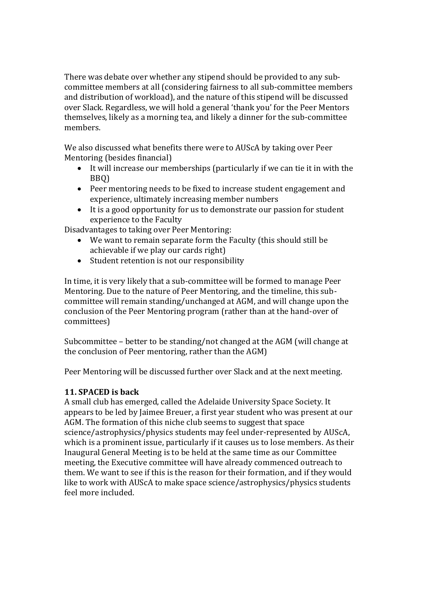There was debate over whether any stipend should be provided to any subcommittee members at all (considering fairness to all sub-committee members and distribution of workload), and the nature of this stipend will be discussed over Slack. Regardless, we will hold a general 'thank you' for the Peer Mentors themselves, likely as a morning tea, and likely a dinner for the sub-committee members.

We also discussed what benefits there were to AUScA by taking over Peer Mentoring (besides financial)

- It will increase our memberships (particularly if we can tie it in with the BBQ)
- Peer mentoring needs to be fixed to increase student engagement and experience, ultimately increasing member numbers
- It is a good opportunity for us to demonstrate our passion for student experience to the Faculty

Disadvantages to taking over Peer Mentoring:

- We want to remain separate form the Faculty (this should still be achievable if we play our cards right)
- Student retention is not our responsibility

In time, it is very likely that a sub-committee will be formed to manage Peer Mentoring. Due to the nature of Peer Mentoring, and the timeline, this subcommittee will remain standing/unchanged at AGM, and will change upon the conclusion of the Peer Mentoring program (rather than at the hand-over of committees)

Subcommittee – better to be standing/not changed at the AGM (will change at the conclusion of Peer mentoring, rather than the AGM)

Peer Mentoring will be discussed further over Slack and at the next meeting.

# **11. SPACED is back**

A small club has emerged, called the Adelaide University Space Society. It appears to be led by Jaimee Breuer, a first year student who was present at our AGM. The formation of this niche club seems to suggest that space science/astrophysics/physics students may feel under-represented by AUScA, which is a prominent issue, particularly if it causes us to lose members. As their Inaugural General Meeting is to be held at the same time as our Committee meeting, the Executive committee will have already commenced outreach to them. We want to see if this is the reason for their formation, and if they would like to work with AUScA to make space science/astrophysics/physics students feel more included.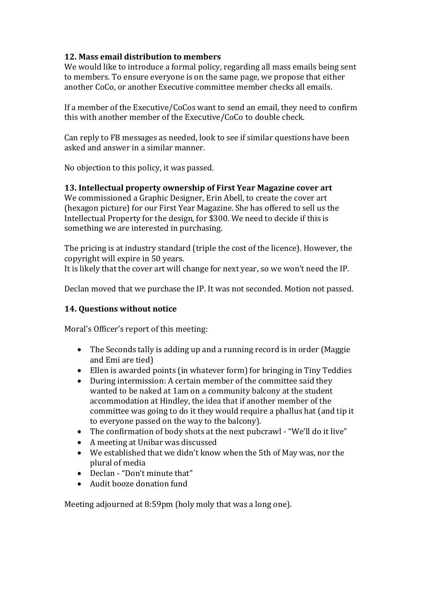# **12. Mass email distribution to members**

We would like to introduce a formal policy, regarding all mass emails being sent to members. To ensure everyone is on the same page, we propose that either another CoCo, or another Executive committee member checks all emails.

If a member of the Executive/CoCos want to send an email, they need to confirm this with another member of the Executive/CoCo to double check.

Can reply to FB messages as needed, look to see if similar questions have been asked and answer in a similar manner.

No objection to this policy, it was passed.

# **13. Intellectual property ownership of First Year Magazine cover art**

We commissioned a Graphic Designer, Erin Abell, to create the cover art (hexagon picture) for our First Year Magazine. She has offered to sell us the Intellectual Property for the design, for \$300. We need to decide if this is something we are interested in purchasing.

The pricing is at industry standard (triple the cost of the licence). However, the copyright will expire in 50 years.

It is likely that the cover art will change for next year, so we won't need the IP.

Declan moved that we purchase the IP. It was not seconded. Motion not passed.

# **14. Questions without notice**

Moral's Officer's report of this meeting:

- The Seconds tally is adding up and a running record is in order (Maggie and Emi are tied)
- Ellen is awarded points (in whatever form) for bringing in Tiny Teddies
- During intermission: A certain member of the committee said they wanted to be naked at 1am on a community balcony at the student accommodation at Hindley, the idea that if another member of the committee was going to do it they would require a phallus hat (and tip it to everyone passed on the way to the balcony).
- The confirmation of body shots at the next pubcrawl "We'll do it live"
- A meeting at Unibar was discussed
- We established that we didn't know when the 5th of May was, nor the plural of media
- Declan "Don't minute that"
- Audit booze donation fund

Meeting adjourned at 8:59pm (holy moly that was a long one).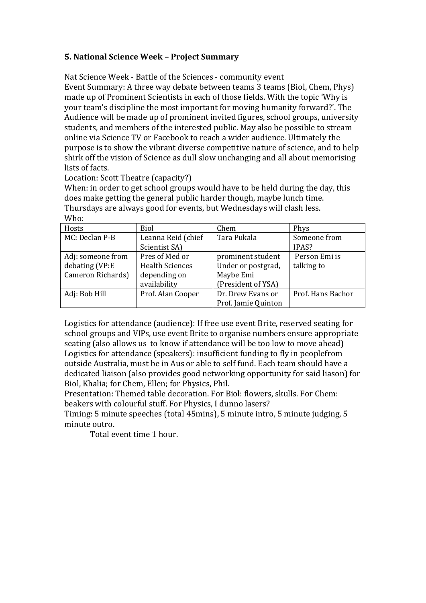## **5. National Science Week – Project Summary**

Nat Science Week - Battle of the Sciences - community event

Event Summary: A three way debate between teams 3 teams (Biol, Chem, Phys) made up of Prominent Scientists in each of those fields. With the topic 'Why is your team's discipline the most important for moving humanity forward?'. The Audience will be made up of prominent invited figures, school groups, university students, and members of the interested public. May also be possible to stream online via Science TV or Facebook to reach a wider audience. Ultimately the purpose is to show the vibrant diverse competitive nature of science, and to help shirk off the vision of Science as dull slow unchanging and all about memorising lists of facts.

Location: Scott Theatre (capacity?)

When: in order to get school groups would have to be held during the day, this does make getting the general public harder though, maybe lunch time. Thursdays are always good for events, but Wednesdays will clash less.  $Mh_0$ .

| VV IIU.           |                        |                     |                   |
|-------------------|------------------------|---------------------|-------------------|
| Hosts             | Biol                   | Chem                | Phys              |
| MC: Declan P-B    | Leanna Reid (chief     | Tara Pukala         | Someone from      |
|                   | Scientist SA)          |                     | IPAS?             |
| Adj: someone from | Pres of Med or         | prominent student   | Person Emi is     |
| debating (VP:E    | <b>Health Sciences</b> | Under or postgrad,  | talking to        |
| Cameron Richards) | depending on           | Maybe Emi           |                   |
|                   | availability           | (President of YSA)  |                   |
| Adj: Bob Hill     | Prof. Alan Cooper      | Dr. Drew Evans or   | Prof. Hans Bachor |
|                   |                        | Prof. Jamie Quinton |                   |

Logistics for attendance (audience): If free use event Brite, reserved seating for school groups and VIPs, use event Brite to organise numbers ensure appropriate seating (also allows us to know if attendance will be too low to move ahead) Logistics for attendance (speakers): insufficient funding to fly in peoplefrom outside Australia, must be in Aus or able to self fund. Each team should have a dedicated liaison (also provides good networking opportunity for said liason) for Biol, Khalia; for Chem, Ellen; for Physics, Phil.

Presentation: Themed table decoration. For Biol: flowers, skulls. For Chem: beakers with colourful stuff. For Physics, I dunno lasers?

Timing: 5 minute speeches (total 45mins), 5 minute intro, 5 minute judging, 5 minute outro.

Total event time 1 hour.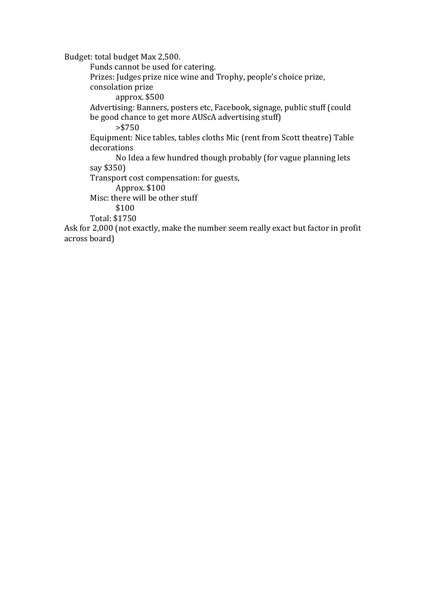Budget: total budget Max 2,500.

Funds cannot be used for catering. Prizes: Judges prize nice wine and Trophy, people's choice prize, consolation prize approx. \$500 Advertising: Banners, posters etc, Facebook, signage, public stuff (could be good chance to get more AUScA advertising stuff) >\$750 Equipment: Nice tables, tables cloths Mic (rent from Scott theatre) Table decorations No Idea a few hundred though probably (for vague planning lets say \$350) Transport cost compensation: for guests, Approx. \$100 Misc: there will be other stuff \$100 Total: \$1750 Ask for 2,000 (not exactly, make the number seem really exact but factor in profit

across board)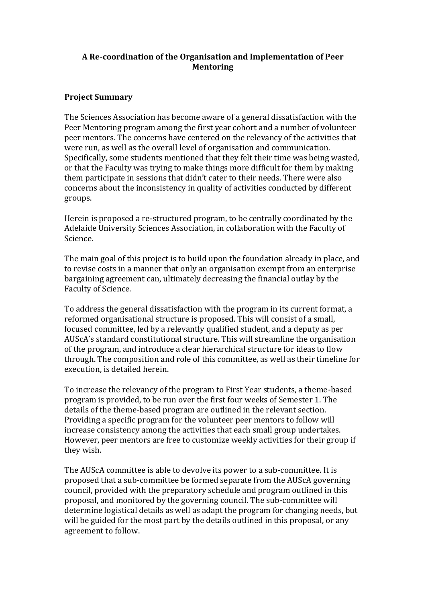### **A Re-coordination of the Organisation and Implementation of Peer Mentoring**

### **Project Summary**

The Sciences Association has become aware of a general dissatisfaction with the Peer Mentoring program among the first year cohort and a number of volunteer peer mentors. The concerns have centered on the relevancy of the activities that were run, as well as the overall level of organisation and communication. Specifically, some students mentioned that they felt their time was being wasted, or that the Faculty was trying to make things more difficult for them by making them participate in sessions that didn't cater to their needs. There were also concerns about the inconsistency in quality of activities conducted by different groups.

Herein is proposed a re-structured program, to be centrally coordinated by the Adelaide University Sciences Association, in collaboration with the Faculty of Science.

The main goal of this project is to build upon the foundation already in place, and to revise costs in a manner that only an organisation exempt from an enterprise bargaining agreement can, ultimately decreasing the financial outlay by the Faculty of Science.

To address the general dissatisfaction with the program in its current format, a reformed organisational structure is proposed. This will consist of a small, focused committee, led by a relevantly qualified student, and a deputy as per AUScA's standard constitutional structure. This will streamline the organisation of the program, and introduce a clear hierarchical structure for ideas to flow through. The composition and role of this committee, as well as their timeline for execution, is detailed herein.

To increase the relevancy of the program to First Year students, a theme-based program is provided, to be run over the first four weeks of Semester 1. The details of the theme-based program are outlined in the relevant section. Providing a specific program for the volunteer peer mentors to follow will increase consistency among the activities that each small group undertakes. However, peer mentors are free to customize weekly activities for their group if they wish.

The AUScA committee is able to devolve its power to a sub-committee. It is proposed that a sub-committee be formed separate from the AUScA governing council, provided with the preparatory schedule and program outlined in this proposal, and monitored by the governing council. The sub-committee will determine logistical details as well as adapt the program for changing needs, but will be guided for the most part by the details outlined in this proposal, or any agreement to follow.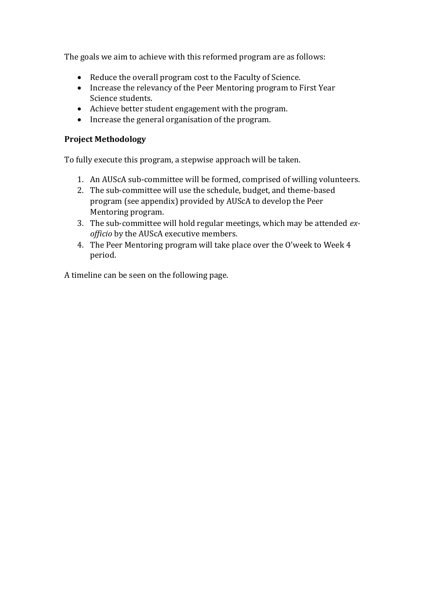The goals we aim to achieve with this reformed program are as follows:

- Reduce the overall program cost to the Faculty of Science.
- Increase the relevancy of the Peer Mentoring program to First Year Science students.
- Achieve better student engagement with the program.
- Increase the general organisation of the program.

### **Project Methodology**

To fully execute this program, a stepwise approach will be taken.

- 1. An AUScA sub-committee will be formed, comprised of willing volunteers.
- 2. The sub-committee will use the schedule, budget, and theme-based program (see appendix) provided by AUScA to develop the Peer Mentoring program.
- 3. The sub-committee will hold regular meetings, which may be attended *exofficio* by the AUScA executive members.
- 4. The Peer Mentoring program will take place over the O'week to Week 4 period.

A timeline can be seen on the following page.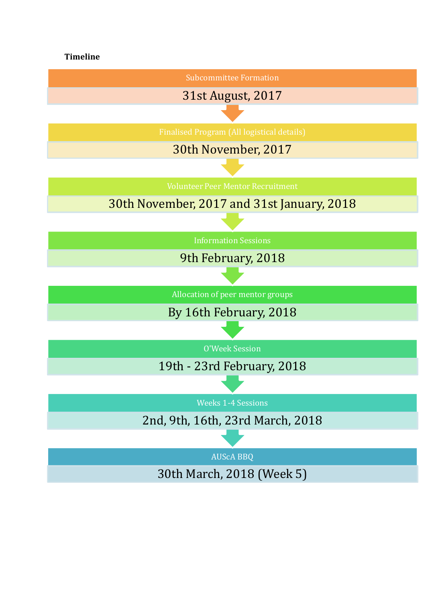# **Timeline**

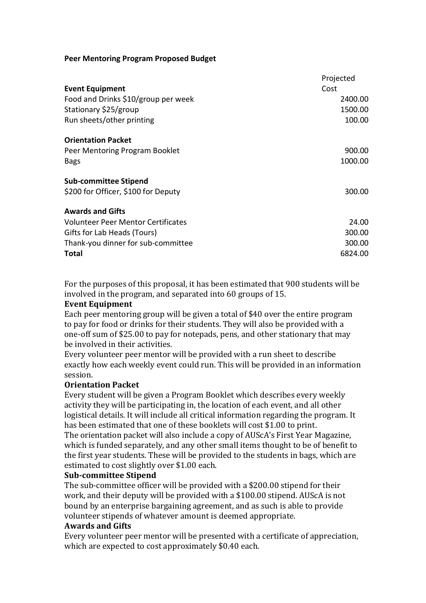#### **Peer Mentoring Program Proposed Budget**

|                                           | Projected |
|-------------------------------------------|-----------|
| <b>Event Equipment</b>                    | Cost      |
| Food and Drinks \$10/group per week       | 2400.00   |
| Stationary \$25/group                     | 1500.00   |
| Run sheets/other printing                 | 100.00    |
| <b>Orientation Packet</b>                 |           |
| Peer Mentoring Program Booklet            | 900.00    |
| <b>Bags</b>                               | 1000.00   |
| <b>Sub-committee Stipend</b>              |           |
| \$200 for Officer, \$100 for Deputy       | 300.00    |
| <b>Awards and Gifts</b>                   |           |
| <b>Volunteer Peer Mentor Certificates</b> | 24.00     |
| Gifts for Lab Heads (Tours)               | 300.00    |
| Thank-you dinner for sub-committee        | 300.00    |
| <b>Total</b>                              | 6824.00   |

For the purposes of this proposal, it has been estimated that 900 students will be involved in the program, and separated into 60 groups of 15.

#### **Event Equipment**

Each peer mentoring group will be given a total of \$40 over the entire program to pay for food or drinks for their students. They will also be provided with a one-off sum of \$25.00 to pay for notepads, pens, and other stationary that may be involved in their activities.

Every volunteer peer mentor will be provided with a run sheet to describe exactly how each weekly event could run. This will be provided in an information session.

### **Orientation Packet**

Every student will be given a Program Booklet which describes every weekly activity they will be participating in, the location of each event, and all other logistical details. It will include all critical information regarding the program. It has been estimated that one of these booklets will cost \$1.00 to print. The orientation packet will also include a copy of AUScA's First Year Magazine, which is funded separately, and any other small items thought to be of benefit to the first year students. These will be provided to the students in bags, which are estimated to cost slightly over \$1.00 each.

#### **Sub-committee Stipend**

The sub-committee officer will be provided with a \$200.00 stipend for their work, and their deputy will be provided with a \$100.00 stipend. AUScA is not bound by an enterprise bargaining agreement, and as such is able to provide volunteer stipends of whatever amount is deemed appropriate.

### **Awards and Gifts**

Every volunteer peer mentor will be presented with a certificate of appreciation, which are expected to cost approximately \$0.40 each.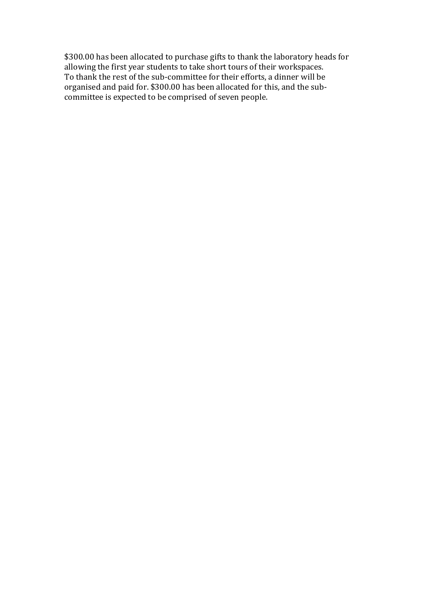\$300.00 has been allocated to purchase gifts to thank the laboratory heads for allowing the first year students to take short tours of their workspaces. To thank the rest of the sub-committee for their efforts, a dinner will be organised and paid for. \$300.00 has been allocated for this, and the subcommittee is expected to be comprised of seven people.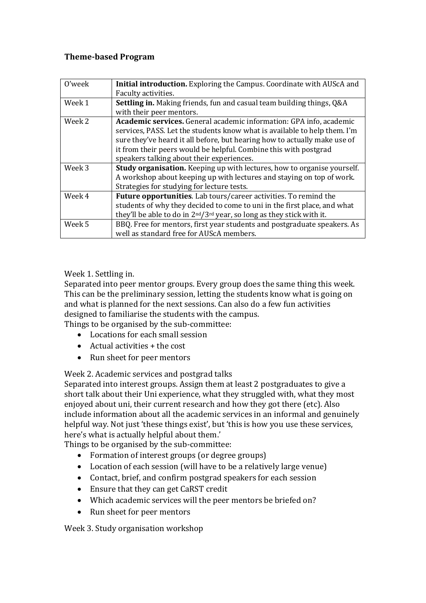### **Theme-based Program**

| 0'week | Initial introduction. Exploring the Campus. Coordinate with AUScA and                                                                            |
|--------|--------------------------------------------------------------------------------------------------------------------------------------------------|
|        | Faculty activities.                                                                                                                              |
| Week 1 | <b>Settling in.</b> Making friends, fun and casual team building things, Q&A                                                                     |
|        | with their peer mentors.                                                                                                                         |
| Week 2 | Academic services. General academic information: GPA info, academic<br>services, PASS. Let the students know what is available to help them. I'm |
|        | sure they've heard it all before, but hearing how to actually make use of                                                                        |
|        | it from their peers would be helpful. Combine this with postgrad                                                                                 |
|        | speakers talking about their experiences.                                                                                                        |
| Week 3 | <b>Study organisation.</b> Keeping up with lectures, how to organise yourself.                                                                   |
|        | A workshop about keeping up with lectures and staying on top of work.                                                                            |
|        | Strategies for studying for lecture tests.                                                                                                       |
| Week 4 | Future opportunities. Lab tours/career activities. To remind the                                                                                 |
|        | students of why they decided to come to uni in the first place, and what                                                                         |
|        | they'll be able to do in 2 <sup>nd</sup> /3 <sup>rd</sup> year, so long as they stick with it.                                                   |
| Week 5 | BBQ. Free for mentors, first year students and postgraduate speakers. As                                                                         |
|        | well as standard free for AUScA members.                                                                                                         |

Week 1. Settling in.

Separated into peer mentor groups. Every group does the same thing this week. This can be the preliminary session, letting the students know what is going on and what is planned for the next sessions. Can also do a few fun activities designed to familiarise the students with the campus.

Things to be organised by the sub-committee:

- Locations for each small session
- $\bullet$  Actual activities  $+$  the cost
- Run sheet for peer mentors

Week 2. Academic services and postgrad talks

Separated into interest groups. Assign them at least 2 postgraduates to give a short talk about their Uni experience, what they struggled with, what they most enjoyed about uni, their current research and how they got there (etc). Also include information about all the academic services in an informal and genuinely helpful way. Not just 'these things exist', but 'this is how you use these services, here's what is actually helpful about them.'

Things to be organised by the sub-committee:

- Formation of interest groups (or degree groups)
- Location of each session (will have to be a relatively large venue)
- Contact, brief, and confirm postgrad speakers for each session
- Ensure that they can get CaRST credit
- Which academic services will the peer mentors be briefed on?
- Run sheet for peer mentors

Week 3. Study organisation workshop